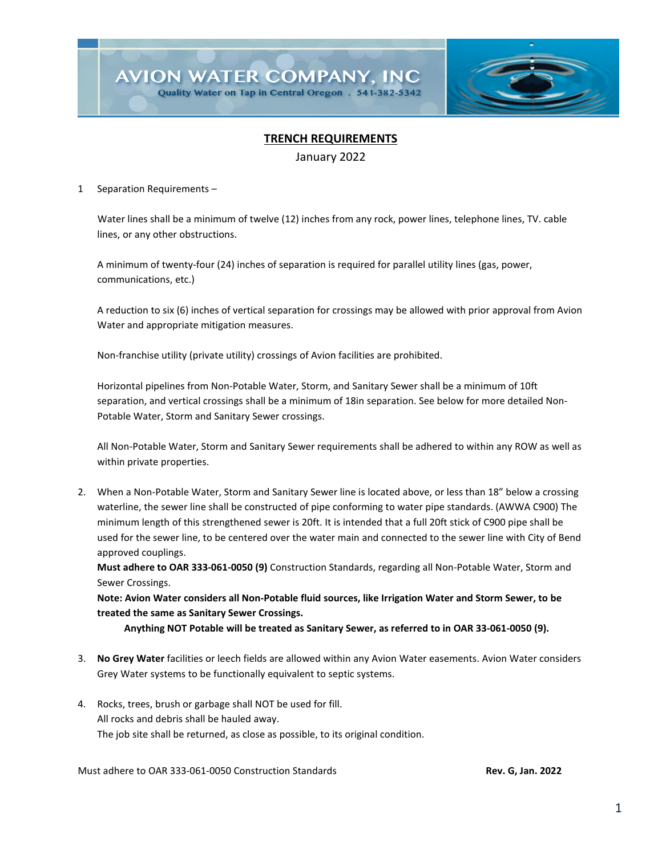

## **TRENCH REQUIREMENTS**

January 2022

### 1 Separation Requirements –

 Water lines shall be a minimum of twelve (12) inches from any rock, power lines, telephone lines, TV. cable lines, or any other obstructions.

A minimum of twenty-four (24) inches of separation is required for parallel utility lines (gas, power, communications, etc.)

A reduction to six (6) inches of vertical separation for crossings may be allowed with prior approval from Avion Water and appropriate mitigation measures.

Non-franchise utility (private utility) crossings of Avion facilities are prohibited.

Horizontal pipelines from Non-Potable Water, Storm, and Sanitary Sewer shall be a minimum of 10ft separation, and vertical crossings shall be a minimum of 18in separation. See below for more detailed Non-Potable Water, Storm and Sanitary Sewer crossings.

All Non-Potable Water, Storm and Sanitary Sewer requirements shall be adhered to within any ROW as well as within private properties.

2. When a Non-Potable Water, Storm and Sanitary Sewer line is located above, or less than 18" below a crossing waterline, the sewer line shall be constructed of pipe conforming to water pipe standards. (AWWA C900) The minimum length of this strengthened sewer is 20ft. It is intended that a full 20ft stick of C900 pipe shall be used for the sewer line, to be centered over the water main and connected to the sewer line with City of Bend approved couplings.

**Must adhere to OAR 333-061-0050 (9)** Construction Standards, regarding all Non-Potable Water, Storm and Sewer Crossings.

**Note: Avion Water considers all Non-Potable fluid sources, like Irrigation Water and Storm Sewer, to be treated the same as Sanitary Sewer Crossings.**

 **Anything NOT Potable will be treated as Sanitary Sewer, as referred to in OAR 33-061-0050 (9).**

- 3. **No Grey Water** facilities or leech fields are allowed within any Avion Water easements. Avion Water considers Grey Water systems to be functionally equivalent to septic systems.
- 4. Rocks, trees, brush or garbage shall NOT be used for fill. All rocks and debris shall be hauled away. The job site shall be returned, as close as possible, to its original condition.

Must adhere to OAR 333-061-0050 Construction Standards **Rev. G, Jan. 2022**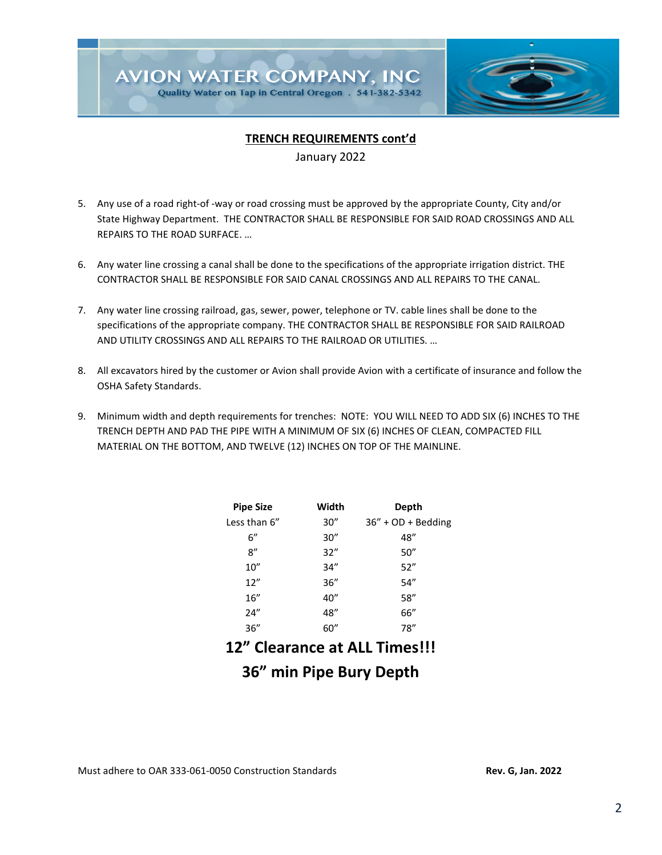

## **TRENCH REQUIREMENTS cont'd**

January 2022

- 5. Any use of a road right-of -way or road crossing must be approved by the appropriate County, City and/or State Highway Department. THE CONTRACTOR SHALL BE RESPONSIBLE FOR SAID ROAD CROSSINGS AND ALL REPAIRS TO THE ROAD SURFACE. …
- 6. Any water line crossing a canal shall be done to the specifications of the appropriate irrigation district. THE CONTRACTOR SHALL BE RESPONSIBLE FOR SAID CANAL CROSSINGS AND ALL REPAIRS TO THE CANAL.
- 7. Any water line crossing railroad, gas, sewer, power, telephone or TV. cable lines shall be done to the specifications of the appropriate company. THE CONTRACTOR SHALL BE RESPONSIBLE FOR SAID RAILROAD AND UTILITY CROSSINGS AND ALL REPAIRS TO THE RAILROAD OR UTILITIES. …
- 8. All excavators hired by the customer or Avion shall provide Avion with a certificate of insurance and follow the OSHA Safety Standards.
- 9. Minimum width and depth requirements for trenches: NOTE: YOU WILL NEED TO ADD SIX (6) INCHES TO THE TRENCH DEPTH AND PAD THE PIPE WITH A MINIMUM OF SIX (6) INCHES OF CLEAN, COMPACTED FILL MATERIAL ON THE BOTTOM, AND TWELVE (12) INCHES ON TOP OF THE MAINLINE.

| <b>Pipe Size</b> | Width | Depth                 |
|------------------|-------|-----------------------|
| Less than 6"     | 30''  | $36'' + OD + Bedding$ |
| 6''              | 30''  | 48"                   |
| 8''              | 32"   | 50''                  |
| 10''             | 34''  | 52"                   |
| 12''             | 36''  | 54"                   |
| 16''             | 40"   | 58''                  |
| 24"              | 48"   | 66"                   |
| 36''             | 60''  | 78"                   |
|                  |       |                       |

# **12" Clearance at ALL Times!!!**

# **36" min Pipe Bury Depth**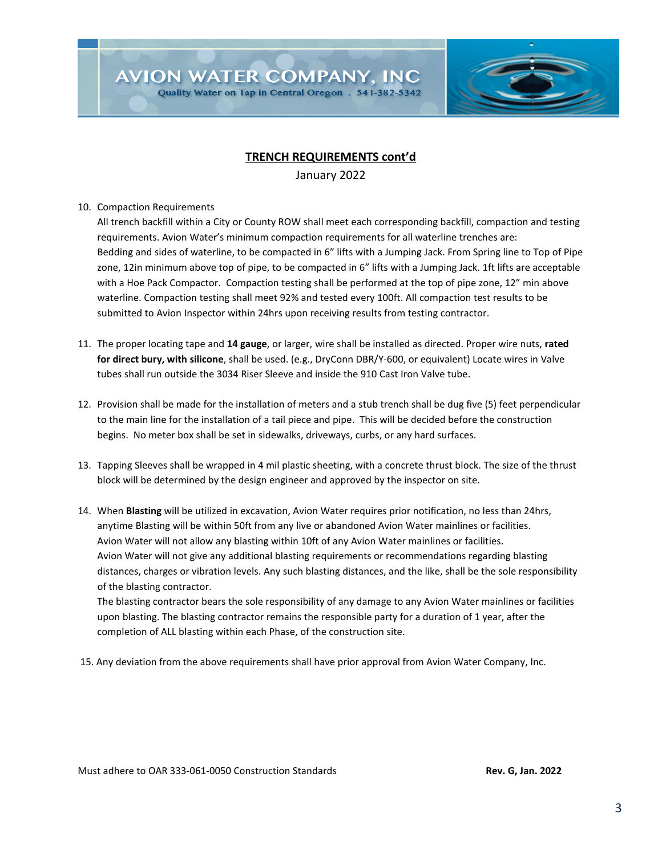**AVION WATER COMPANY, INC** 

Quality Water on Tap in Central Oregon . 541-382-5342



## **TRENCH REQUIREMENTS cont'd**

January 2022

10. Compaction Requirements

All trench backfill within a City or County ROW shall meet each corresponding backfill, compaction and testing requirements. Avion Water's minimum compaction requirements for all waterline trenches are: Bedding and sides of waterline, to be compacted in 6" lifts with a Jumping Jack. From Spring line to Top of Pipe zone, 12in minimum above top of pipe, to be compacted in 6" lifts with a Jumping Jack. 1ft lifts are acceptable with a Hoe Pack Compactor. Compaction testing shall be performed at the top of pipe zone, 12" min above waterline. Compaction testing shall meet 92% and tested every 100ft. All compaction test results to be submitted to Avion Inspector within 24hrs upon receiving results from testing contractor.

- 11. The proper locating tape and **14 gauge**, or larger, wire shall be installed as directed. Proper wire nuts, **rated for direct bury, with silicone**, shall be used. (e.g., DryConn DBR/Y-600, or equivalent) Locate wires in Valve tubes shall run outside the 3034 Riser Sleeve and inside the 910 Cast Iron Valve tube.
- 12. Provision shall be made for the installation of meters and a stub trench shall be dug five (5) feet perpendicular to the main line for the installation of a tail piece and pipe. This will be decided before the construction begins. No meter box shall be set in sidewalks, driveways, curbs, or any hard surfaces.
- 13. Tapping Sleeves shall be wrapped in 4 mil plastic sheeting, with a concrete thrust block. The size of the thrust block will be determined by the design engineer and approved by the inspector on site.
- 14. When **Blasting** will be utilized in excavation, Avion Water requires prior notification, no less than 24hrs, anytime Blasting will be within 50ft from any live or abandoned Avion Water mainlines or facilities. Avion Water will not allow any blasting within 10ft of any Avion Water mainlines or facilities. Avion Water will not give any additional blasting requirements or recommendations regarding blasting distances, charges or vibration levels. Any such blasting distances, and the like, shall be the sole responsibility of the blasting contractor.

The blasting contractor bears the sole responsibility of any damage to any Avion Water mainlines or facilities upon blasting. The blasting contractor remains the responsible party for a duration of 1 year, after the completion of ALL blasting within each Phase, of the construction site.

15. Any deviation from the above requirements shall have prior approval from Avion Water Company, Inc.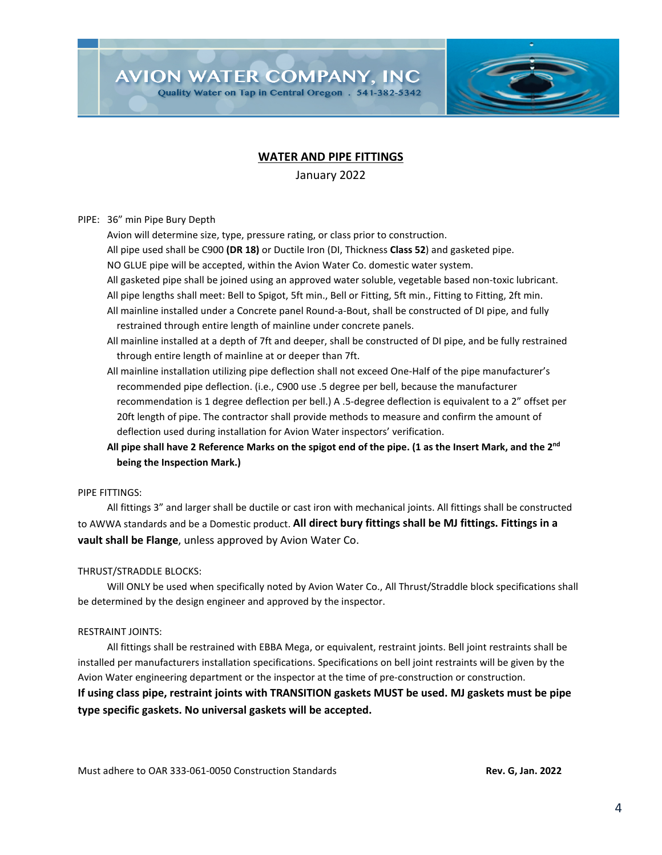**AVION WATER COMPANY, INC** 

Quality Water on Tap in Central Oregon . 541-382-5342

## **WATER AND PIPE FITTINGS**

January 2022

PIPE: 36" min Pipe Bury Depth

Avion will determine size, type, pressure rating, or class prior to construction.

All pipe used shall be C900 **(DR 18)** or Ductile Iron (DI, Thickness **Class 52**) and gasketed pipe.

NO GLUE pipe will be accepted, within the Avion Water Co. domestic water system.

- All gasketed pipe shall be joined using an approved water soluble, vegetable based non-toxic lubricant. All pipe lengths shall meet: Bell to Spigot, 5ft min., Bell or Fitting, 5ft min., Fitting to Fitting, 2ft min.
- All mainline installed under a Concrete panel Round-a-Bout, shall be constructed of DI pipe, and fully restrained through entire length of mainline under concrete panels.

All mainline installed at a depth of 7ft and deeper, shall be constructed of DI pipe, and be fully restrained through entire length of mainline at or deeper than 7ft.

- All mainline installation utilizing pipe deflection shall not exceed One-Half of the pipe manufacturer's recommended pipe deflection. (i.e., C900 use .5 degree per bell, because the manufacturer recommendation is 1 degree deflection per bell.) A .5-degree deflection is equivalent to a 2" offset per 20ft length of pipe. The contractor shall provide methods to measure and confirm the amount of deflection used during installation for Avion Water inspectors' verification.
- **All pipe shall have 2 Reference Marks on the spigot end of the pipe. (1 as the Insert Mark, and the 2nd being the Inspection Mark.)**

#### PIPE FITTINGS:

All fittings 3" and larger shall be ductile or cast iron with mechanical joints. All fittings shall be constructed to AWWA standards and be a Domestic product. **All direct bury fittings shall be MJ fittings. Fittings in a vault shall be Flange**, unless approved by Avion Water Co.

## THRUST/STRADDLE BLOCKS:

Will ONLY be used when specifically noted by Avion Water Co., All Thrust/Straddle block specifications shall be determined by the design engineer and approved by the inspector.

## RESTRAINT JOINTS:

All fittings shall be restrained with EBBA Mega, or equivalent, restraint joints. Bell joint restraints shall be installed per manufacturers installation specifications. Specifications on bell joint restraints will be given by the Avion Water engineering department or the inspector at the time of pre-construction or construction. **If using class pipe, restraint joints with TRANSITION gaskets MUST be used. MJ gaskets must be pipe type specific gaskets. No universal gaskets will be accepted.**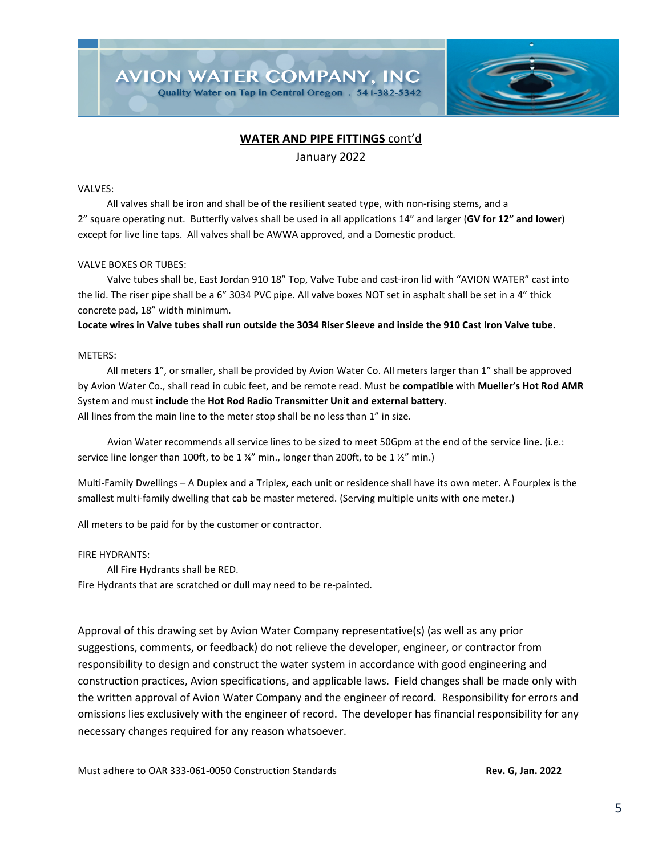

## **WATER AND PIPE FITTINGS** cont'd

January 2022

#### VALVES:

All valves shall be iron and shall be of the resilient seated type, with non-rising stems, and a 2" square operating nut. Butterfly valves shall be used in all applications 14" and larger (**GV for 12" and lower**) except for live line taps. All valves shall be AWWA approved, and a Domestic product.

#### VALVE BOXES OR TUBES:

Valve tubes shall be, East Jordan 910 18" Top, Valve Tube and cast-iron lid with "AVION WATER" cast into the lid. The riser pipe shall be a 6" 3034 PVC pipe. All valve boxes NOT set in asphalt shall be set in a 4" thick concrete pad, 18" width minimum.

**Locate wires in Valve tubes shall run outside the 3034 Riser Sleeve and inside the 910 Cast Iron Valve tube.**

#### METERS:

All meters 1", or smaller, shall be provided by Avion Water Co. All meters larger than 1" shall be approved by Avion Water Co., shall read in cubic feet, and be remote read. Must be **compatible** with **Mueller's Hot Rod AMR** System and must **include** the **Hot Rod Radio Transmitter Unit and external battery**. All lines from the main line to the meter stop shall be no less than 1" in size.

 Avion Water recommends all service lines to be sized to meet 50Gpm at the end of the service line. (i.e.: service line longer than 100ft, to be 1 ¼" min., longer than 200ft, to be 1 ½" min.)

Multi-Family Dwellings – A Duplex and a Triplex, each unit or residence shall have its own meter. A Fourplex is the smallest multi-family dwelling that cab be master metered. (Serving multiple units with one meter.)

All meters to be paid for by the customer or contractor.

FIRE HYDRANTS:

All Fire Hydrants shall be RED.

Fire Hydrants that are scratched or dull may need to be re-painted.

Approval of this drawing set by Avion Water Company representative(s) (as well as any prior suggestions, comments, or feedback) do not relieve the developer, engineer, or contractor from responsibility to design and construct the water system in accordance with good engineering and construction practices, Avion specifications, and applicable laws. Field changes shall be made only with the written approval of Avion Water Company and the engineer of record. Responsibility for errors and omissions lies exclusively with the engineer of record. The developer has financial responsibility for any necessary changes required for any reason whatsoever.

Must adhere to OAR 333-061-0050 Construction Standards **Rev. G, Jan. 2022**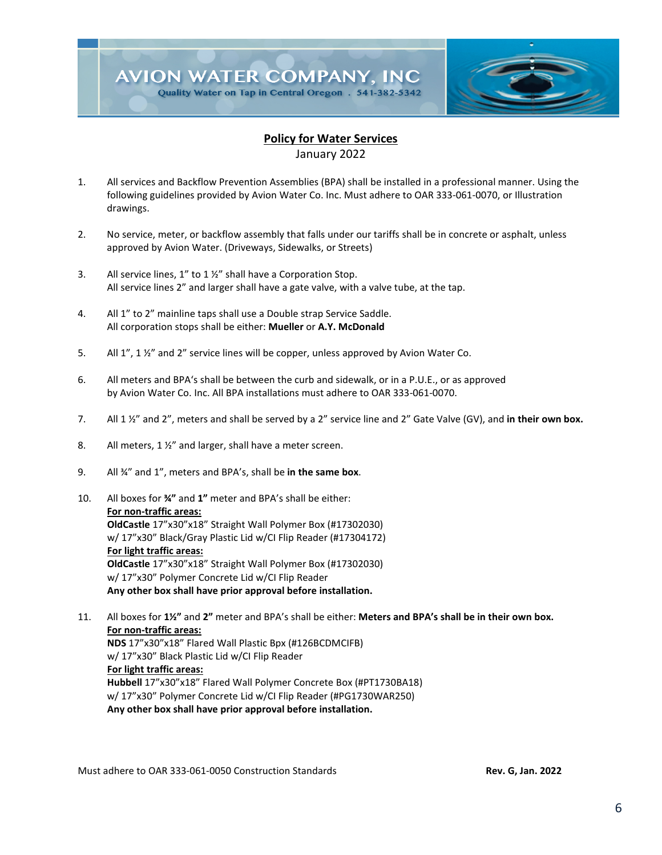

## **Policy for Water Services**

January 2022

- 1. All services and Backflow Prevention Assemblies (BPA) shall be installed in a professional manner. Using the following guidelines provided by Avion Water Co. Inc. Must adhere to OAR 333-061-0070, or Illustration drawings.
- 2. No service, meter, or backflow assembly that falls under our tariffs shall be in concrete or asphalt, unless approved by Avion Water. (Driveways, Sidewalks, or Streets)
- 3. All service lines, 1" to 1 ½" shall have a Corporation Stop. All service lines 2" and larger shall have a gate valve, with a valve tube, at the tap.
- 4. All 1" to 2" mainline taps shall use a Double strap Service Saddle. All corporation stops shall be either: **Mueller** or **A.Y. McDonald**
- 5. All 1", 1 ½" and 2" service lines will be copper, unless approved by Avion Water Co.
- 6. All meters and BPA's shall be between the curb and sidewalk, or in a P.U.E., or as approved by Avion Water Co. Inc. All BPA installations must adhere to OAR 333-061-0070.
- 7. All 1 ½" and 2", meters and shall be served by a 2" service line and 2" Gate Valve (GV), and **in their own box.**
- 8. All meters, 1 %" and larger, shall have a meter screen.
- 9. All ¾" and 1", meters and BPA's, shall be **in the same box**.
- 10. All boxes for **¾"** and **1"** meter and BPA's shall be either: **For non-traffic areas: OldCastle** 17"x30"x18" Straight Wall Polymer Box (#17302030) w/ 17"x30" Black/Gray Plastic Lid w/CI Flip Reader (#17304172) **For light traffic areas: OldCastle** 17"x30"x18" Straight Wall Polymer Box (#17302030) w/ 17"x30" Polymer Concrete Lid w/CI Flip Reader  **Any other box shall have prior approval before installation.**
- 11. All boxes for **1½"** and **2"** meter and BPA's shall be either: **Meters and BPA's shall be in their own box. For non-traffic areas: NDS** 17"x30"x18" Flared Wall Plastic Bpx (#126BCDMCIFB) w/ 17"x30" Black Plastic Lid w/CI Flip Reader **For light traffic areas: Hubbell** 17"x30"x18" Flared Wall Polymer Concrete Box (#PT1730BA18) w/ 17"x30" Polymer Concrete Lid w/CI Flip Reader (#PG1730WAR250)  **Any other box shall have prior approval before installation.**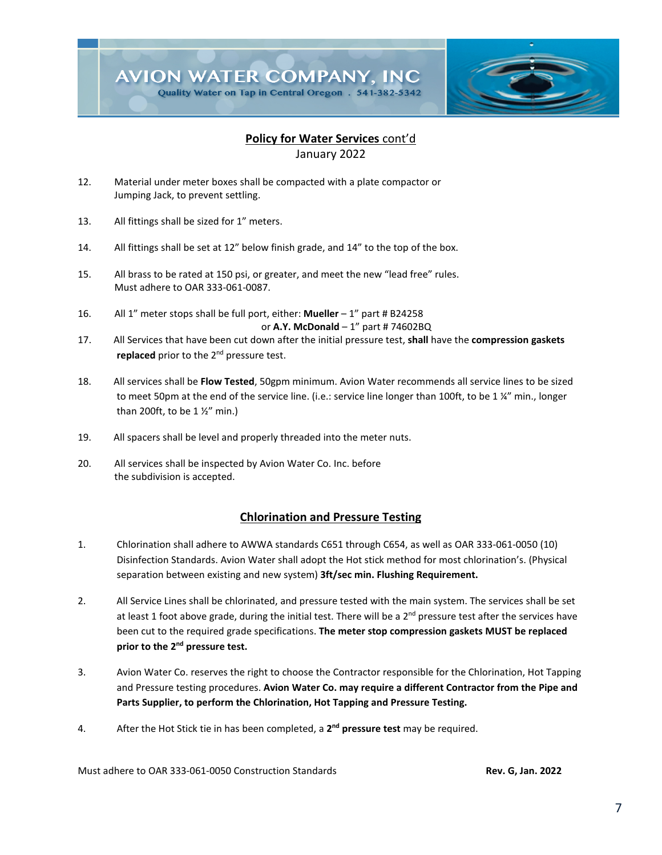

# **Policy for Water Services** cont'd

January 2022

- 12. Material under meter boxes shall be compacted with a plate compactor or Jumping Jack, to prevent settling.
- 13. All fittings shall be sized for 1" meters.
- 14. All fittings shall be set at 12" below finish grade, and 14" to the top of the box.
- 15. All brass to be rated at 150 psi, or greater, and meet the new "lead free" rules. Must adhere to OAR 333-061-0087.
- 16. All 1" meter stops shall be full port, either: **Mueller** 1" part # B24258 or **A.Y. McDonald** – 1" part # 74602BQ
- 17. All Services that have been cut down after the initial pressure test, **shall** have the **compression gaskets** replaced prior to the 2<sup>nd</sup> pressure test.
- 18. All services shall be **Flow Tested**, 50gpm minimum. Avion Water recommends all service lines to be sized to meet 50pm at the end of the service line. (i.e.: service line longer than 100ft, to be 1 ¼" min., longer than 200ft, to be  $1\frac{1}{2}$  min.)
- 19. All spacers shall be level and properly threaded into the meter nuts.
- 20. All services shall be inspected by Avion Water Co. Inc. before the subdivision is accepted.

## **Chlorination and Pressure Testing**

- 1. Chlorination shall adhere to AWWA standards C651 through C654, as well as OAR 333-061-0050 (10) Disinfection Standards. Avion Water shall adopt the Hot stick method for most chlorination's. (Physical separation between existing and new system) **3ft/sec min. Flushing Requirement.**
- 2. All Service Lines shall be chlorinated, and pressure tested with the main system. The services shall be set at least 1 foot above grade, during the initial test. There will be a  $2^{nd}$  pressure test after the services have been cut to the required grade specifications. **The meter stop compression gaskets MUST be replaced prior to the 2nd pressure test.**
- 3. Avion Water Co. reserves the right to choose the Contractor responsible for the Chlorination, Hot Tapping and Pressure testing procedures. **Avion Water Co. may require a different Contractor from the Pipe and Parts Supplier, to perform the Chlorination, Hot Tapping and Pressure Testing.**
- 4. After the Hot Stick tie in has been completed, a **2nd pressure test** may be required.

Must adhere to OAR 333-061-0050 Construction Standards **Rev. G, Jan. 2022**